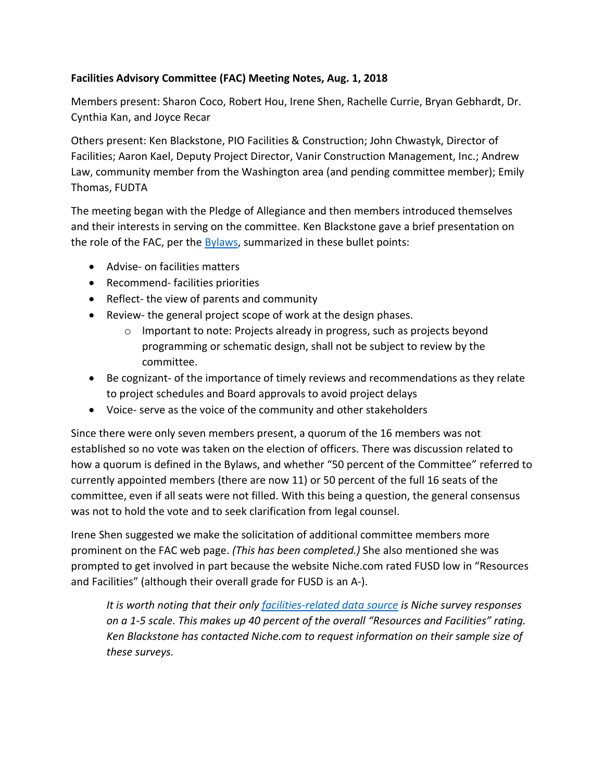## **Facilities Advisory Committee (FAC) Meeting Notes, Aug. 1, 2018**

Members present: Sharon Coco, Robert Hou, Irene Shen, Rachelle Currie, Bryan Gebhardt, Dr. Cynthia Kan, and Joyce Recar

Others present: Ken Blackstone, PIO Facilities & Construction; John Chwastyk, Director of Facilities; Aaron Kael, Deputy Project Director, Vanir Construction Management, Inc.; Andrew Law, community member from the Washington area (and pending committee member); Emily Thomas, FUDTA

The meeting began with the Pledge of Allegiance and then members introduced themselves and their interests in serving on the committee. Ken Blackstone gave a brief presentation on the role of the FAC, per the **Bylaws**, summarized in these bullet points:

- Advise- on facilities matters
- Recommend- facilities priorities
- Reflect- the view of parents and community
- Review- the general project scope of work at the design phases.
	- o Important to note: Projects already in progress, such as projects beyond programming or schematic design, shall not be subject to review by the committee.
- Be cognizant- of the importance of timely reviews and recommendations as they relate to project schedules and Board approvals to avoid project delays
- Voice- serve as the voice of the community and other stakeholders

Since there were only seven members present, a quorum of the 16 members was not established so no vote was taken on the election of officers. There was discussion related to how a quorum is defined in the Bylaws, and whether "50 percent of the Committee" referred to currently appointed members (there are now 11) or 50 percent of the full 16 seats of the committee, even if all seats were not filled. With this being a question, the general consensus was not to hold the vote and to seek clarification from legal counsel.

Irene Shen suggested we make the solicitation of additional committee members more prominent on the FAC web page. *(This has been completed.)* She also mentioned she was prompted to get involved in part because the website Niche.com rated FUSD low in "Resources and Facilities" (although their overall grade for FUSD is an A-).

*It is worth noting that their only [facilities-related data source](https://about.niche.com/methodology/school-district-facilities) is Niche survey responses on a 1-5 scale. This makes up 40 percent of the overall "Resources and Facilities" rating. Ken Blackstone has contacted Niche.com to request information on their sample size of these surveys.*